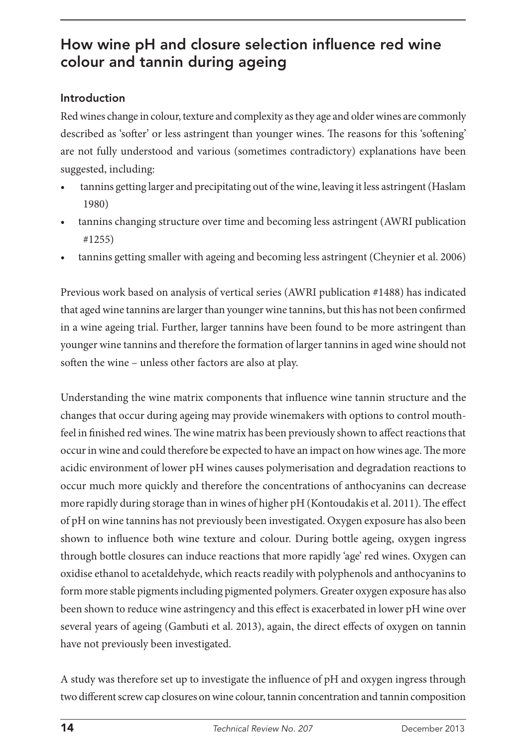# How wine pH and closure selection influence red wine colour and tannin during ageing

## Introduction

Red wines change in colour, texture and complexity as they age and older wines are commonly described as 'softer' or less astringent than younger wines. The reasons for this 'softening' are not fully understood and various (sometimes contradictory) explanations have been suggested, including:

- tannins getting larger and precipitating out of the wine, leaving it less astringent (Haslam 1980)
- tannins changing structure over time and becoming less astringent (AWRI publication #1255)
- tannins getting smaller with ageing and becoming less astringent (Cheynier et al. 2006)

Previous work based on analysis of vertical series (AWRI publication #1488) has indicated that aged wine tannins are larger than younger wine tannins, but this has not been confirmed in a wine ageing trial. Further, larger tannins have been found to be more astringent than younger wine tannins and therefore the formation of larger tannins in aged wine should not soften the wine – unless other factors are also at play.

Understanding the wine matrix components that influence wine tannin structure and the changes that occur during ageing may provide winemakers with options to control mouthfeel in finished red wines. The wine matrix has been previously shown to affect reactions that occur in wine and could therefore be expected to have an impact on how wines age. The more acidic environment of lower pH wines causes polymerisation and degradation reactions to occur much more quickly and therefore the concentrations of anthocyanins can decrease more rapidly during storage than in wines of higher pH (Kontoudakis et al. 2011). The effect of pH on wine tannins has not previously been investigated. Oxygen exposure has also been shown to influence both wine texture and colour. During bottle ageing, oxygen ingress through bottle closures can induce reactions that more rapidly 'age' red wines. Oxygen can oxidise ethanol to acetaldehyde, which reacts readily with polyphenols and anthocyanins to form more stable pigments including pigmented polymers. Greater oxygen exposure has also been shown to reduce wine astringency and this effect is exacerbated in lower pH wine over several years of ageing (Gambuti et al. 2013), again, the direct effects of oxygen on tannin have not previously been investigated.

A study was therefore set up to investigate the influence of pH and oxygen ingress through two different screw cap closures on wine colour, tannin concentration and tannin composition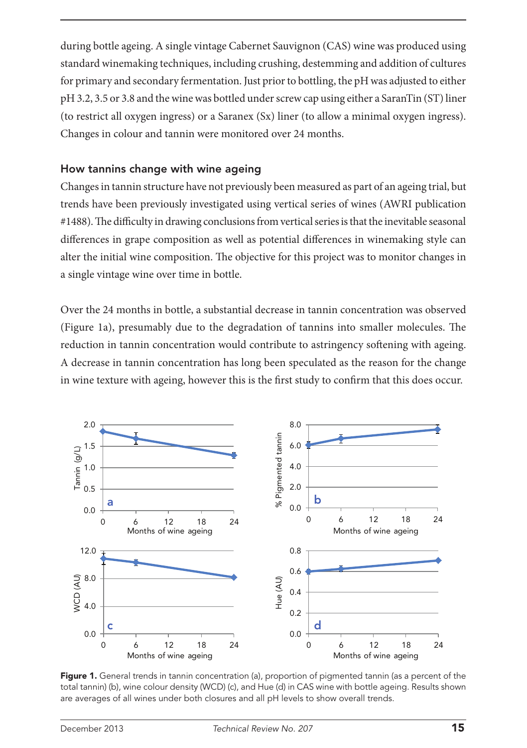during bottle ageing. A single vintage Cabernet Sauvignon (CAS) wine was produced using standard winemaking techniques, including crushing, destemming and addition of cultures for primary and secondary fermentation. Just prior to bottling, the pH was adjusted to either pH 3.2, 3.5 or 3.8 and the wine was bottled under screw cap using either a SaranTin (ST) liner (to restrict all oxygen ingress) or a Saranex (Sx) liner (to allow a minimal oxygen ingress). Changes in colour and tannin were monitored over 24 months.

### How tannins change with wine ageing

Changes in tannin structure have not previously been measured as part of an ageing trial, but trends have been previously investigated using vertical series of wines (AWRI publication #1488). The difficulty in drawing conclusions from vertical series is that the inevitable seasonal differences in grape composition as well as potential differences in winemaking style can alter the initial wine composition. The objective for this project was to monitor changes in a single vintage wine over time in bottle.

Over the 24 months in bottle, a substantial decrease in tannin concentration was observed (Figure 1a), presumably due to the degradation of tannins into smaller molecules. The reduction in tannin concentration would contribute to astringency softening with ageing. A decrease in tannin concentration has long been speculated as the reason for the change in wine texture with ageing, however this is the first study to confirm that this does occur.



Figure 1. General trends in tannin concentration (a), proportion of pigmented tannin (as a percent of the total tannin) (b), wine colour density (WCD) (c), and Hue (d) in CAS wine with bottle ageing. Results shown 12.0 3,000 are averages of all wines under both closures and all pH levels to show overall trends.  $P$ eht  $\frac{1}{P}$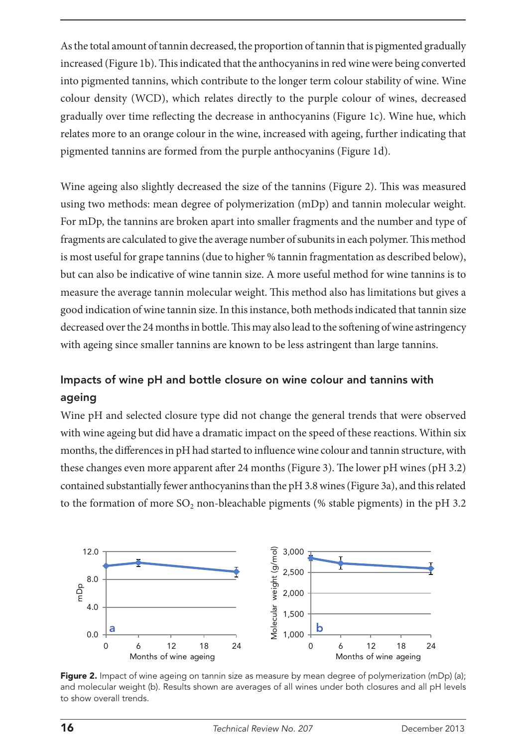As the total amount of tannin decreased, the proportion of tannin that is pigmented gradually increased (Figure 1b). This indicated that the anthocyanins in red wine were being converted into pigmented tannins, which contribute to the longer term colour stability of wine. Wine colour density (WCD), which relates directly to the purple colour of wines, decreased gradually over time reflecting the decrease in anthocyanins (Figure 1c). Wine hue, which relates more to an orange colour in the wine, increased with ageing, further indicating that pigmented tannins are formed from the purple anthocyanins (Figure 1d).

Wine ageing also slightly decreased the size of the tannins (Figure 2). This was measured using two methods: mean degree of polymerization (mDp) and tannin molecular weight. For mDp, the tannins are broken apart into smaller fragments and the number and type of fragments are calculated to give the average number of subunits in each polymer. This method is most useful for grape tannins (due to higher % tannin fragmentation as described below), but can also be indicative of wine tannin size. A more useful method for wine tannins is to measure the average tannin molecular weight. This method also has limitations but gives a good indication of wine tannin size. In this instance, both methods indicated that tannin size decreased over the 24 months in bottle. This may also lead to the softening of wine astringency with ageing since smaller tannins are known to be less astringent than large tannins. d<br>re<br>h : es<br>Pigmente<br>Dispe

#### Impacts of wine pH and bottle closure on wine colour and tannins with ageing of wine pH and bottle closure on wine colour and tannins with

Wine pH and selected closure type did not change the general trends that were observed with wine ageing but did have a dramatic impact on the speed of these reactions. Within six months, the differences in pH had started to influence wine colour and tannin structure, with 0.4 these changes even more apparent after 24 months (Figure 3). The lower pH wines (pH 3.2) contained substantially fewer anthocyanins than the pH 3.8 wines (Figure 3a), and this related to the formation of more  $SO_2$  non-bleachable pigments (% stable pigments) in the pH 3.2 mation of more  $SO_2$  non-blead u<br>nt<br>se s (% stable pigments) in the pr en<br>De



Figure 2. Impact of wine ageing on tannin size as measure by mean degree of polymerization (mDp) (a); and molecular weight (b). Results shown are averages of all wines under both closures and all pH levels to show overall trends.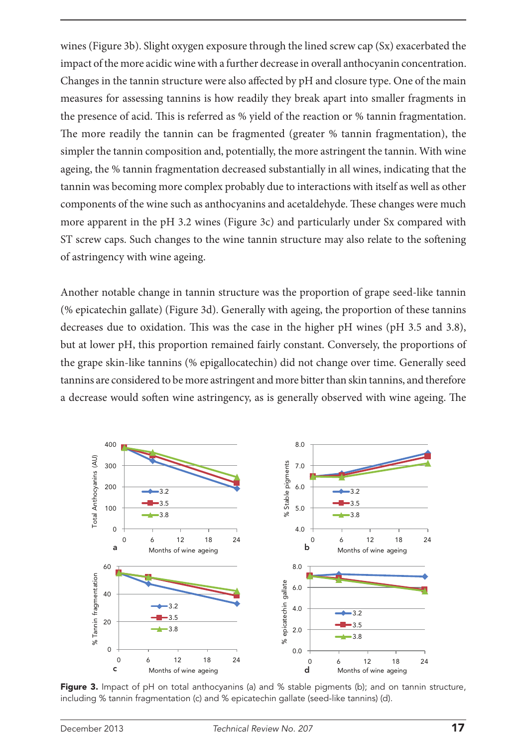wines (Figure 3b). Slight oxygen exposure through the lined screw cap (Sx) exacerbated the impact of the more acidic wine with a further decrease in overall anthocyanin concentration. Changes in the tannin structure were also affected by pH and closure type. One of the main measures for assessing tannins is how readily they break apart into smaller fragments in the presence of acid. This is referred as % yield of the reaction or % tannin fragmentation. The more readily the tannin can be fragmented (greater % tannin fragmentation), the simpler the tannin composition and, potentially, the more astringent the tannin. With wine ageing, the % tannin fragmentation decreased substantially in all wines, indicating that the tannin was becoming more complex probably due to interactions with itself as well as other components of the wine such as anthocyanins and acetaldehyde. These changes were much more apparent in the pH 3.2 wines (Figure 3c) and particularly under Sx compared with ST screw caps. Such changes to the wine tannin structure may also relate to the softening of astringency with wine ageing.

Another notable change in tannin structure was the proportion of grape seed-like tannin (% epicatechin gallate) (Figure 3d). Generally with ageing, the proportion of these tannins decreases due to oxidation. This was the case in the higher pH wines (pH 3.5 and 3.8), but at lower pH, this proportion remained fairly constant. Conversely, the proportions of the grape skin-like tannins (% epigallocatechin) did not change over time. Generally seed tannins are considered to be more astringent and more bitter than skin tannins, and therefore a decrease would soften wine astringency, as is generally observed with wine ageing. The



Figure 3. Impact of pH on total anthocyanins (a) and % stable pigments (b); and on tannin structure, including % tannin fragmentation (c) and % epicatechin gallate (seed-like tannins) (d).